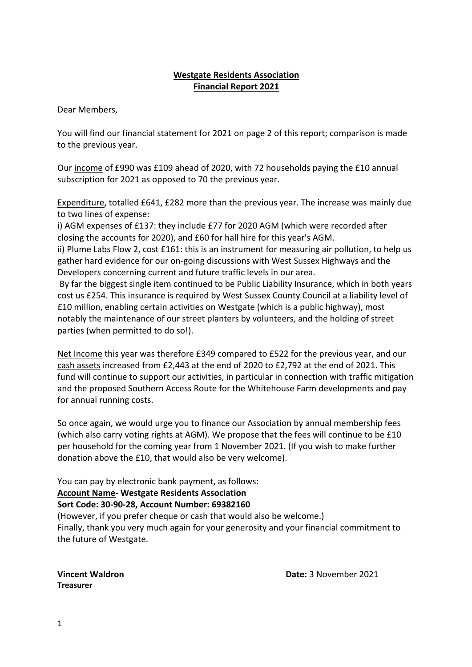## **Westgate Residents Association Financial Report 2021**

Dear Members,

You will find our financial statement for 2021 on page 2 of this report; comparison is made to the previous year.

Our income of £990 was £109 ahead of 2020, with 72 households paying the £10 annual subscription for 2021 as opposed to 70 the previous year.

Expenditure, totalled £641, £282 more than the previous year. The increase was mainly due to two lines of expense:

i) AGM expenses of £137: they include £77 for 2020 AGM (which were recorded after closing the accounts for 2020), and £60 for hall hire for this year's AGM.

ii) Plume Labs Flow 2, cost £161: this is an instrument for measuring air pollution, to help us gather hard evidence for our on-going discussions with West Sussex Highways and the Developers concerning current and future traffic levels in our area.

By far the biggest single item continued to be Public Liability Insurance, which in both years cost us £254. This insurance is required by West Sussex County Council at a liability level of £10 million, enabling certain activities on Westgate (which is a public highway), most notably the maintenance of our street planters by volunteers, and the holding of street parties (when permitted to do so!).

Net Income this year was therefore £349 compared to £522 for the previous year, and our cash assets increased from £2,443 at the end of 2020 to £2,792 at the end of 2021. This fund will continue to support our activities, in particular in connection with traffic mitigation and the proposed Southern Access Route for the Whitehouse Farm developments and pay for annual running costs.

So once again, we would urge you to finance our Association by annual membership fees (which also carry voting rights at AGM). We propose that the fees will continue to be £10 per household for the coming year from 1 November 2021. (If you wish to make further donation above the £10, that would also be very welcome).

You can pay by electronic bank payment, as follows:

### **Account Name- Westgate Residents Association Sort Code: 30-90-28, Account Number: 69382160**

(However, if you prefer cheque or cash that would also be welcome.) Finally, thank you very much again for your generosity and your financial commitment to the future of Westgate.

**Treasurer**

**Vincent Waldron Date:** 3 November 2021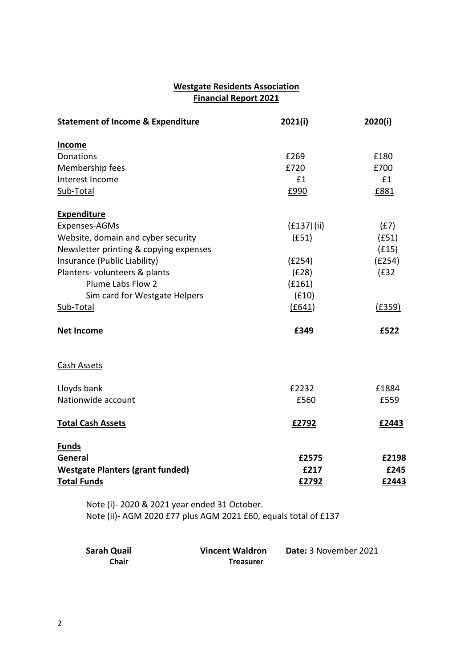# **Westgate Residents Association Financial Report 2021**

| <b>Statement of Income &amp; Expenditure</b> | 2021(i)    | 2020(i) |
|----------------------------------------------|------------|---------|
| <b>Income</b>                                |            |         |
| Donations                                    | £269       | £180    |
| Membership fees                              | £720       | £700    |
| Interest Income                              | £1         | £1      |
| Sub-Total                                    | £990       | £881    |
| <b>Expenditure</b>                           |            |         |
| Expenses-AGMs                                | (E137)(ii) | (f7)    |
| Website, domain and cyber security           | (f51)      | (f51)   |
| Newsletter printing & copying expenses       |            | (f15)   |
| Insurance (Public Liability)                 | (E254)     | (E254)  |
| Planters- volunteers & plants                | (E28)      | (f32)   |
| Plume Labs Flow 2                            | (f161)     |         |
| Sim card for Westgate Helpers                | (f10)      |         |
| Sub-Total                                    | (E641)     | (E359)  |
| <b>Net Income</b>                            | £349       | £522    |
| Cash Assets                                  |            |         |
| Lloyds bank                                  | £2232      | £1884   |
| Nationwide account                           | £560       | £559    |
| <b>Total Cash Assets</b>                     | £2792      | £2443   |
| <b>Funds</b>                                 |            |         |
| General                                      | £2575      | £2198   |
| <b>Westgate Planters (grant funded)</b>      | £217       | £245    |
| <b>Total Funds</b>                           | £2792      | £2443   |
| Note (i)-2020 & 2021 year ended 31 October.  |            |         |

Note (ii)- AGM 2020 £77 plus AGM 2021 £60, equals total of £137

| <b>Sarah Quail</b> | <b>Vincent Waldron</b> | Date: 3 November 2021 |
|--------------------|------------------------|-----------------------|
| Chair              | <b>Treasurer</b>       |                       |